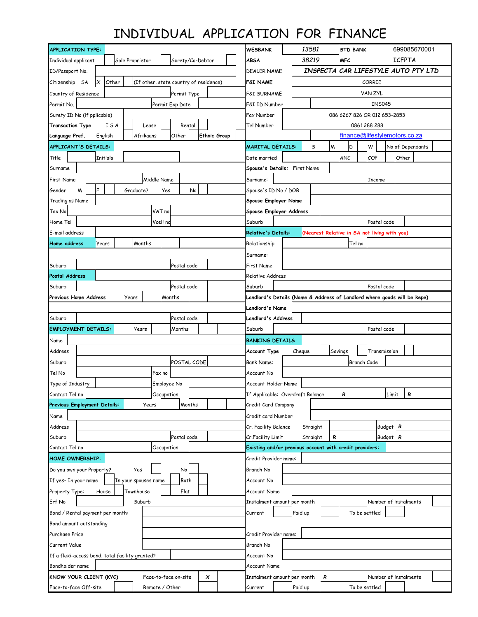## INDIVIDUAL APPLICATION FOR FINANCE

| <b>APPLICATION TYPE:</b>                             |                                     |                                        |                     |                                  | <b>WESBANK</b>                                          | 13581                        |                                     | <b>STD BANK</b>             |                                                                          | 699085670001     |  |  |
|------------------------------------------------------|-------------------------------------|----------------------------------------|---------------------|----------------------------------|---------------------------------------------------------|------------------------------|-------------------------------------|-----------------------------|--------------------------------------------------------------------------|------------------|--|--|
| Individual applicant                                 | Sole Proprietor<br>Surety/Co-Debtor |                                        |                     |                                  | <b>ABSA</b>                                             | 38219                        |                                     | <b>ICFPTA</b><br><b>MFC</b> |                                                                          |                  |  |  |
| ID/Passport No.                                      |                                     |                                        |                     |                                  | <b>DEALER NAME</b>                                      |                              | INSPECTA CAR LIFESTYLE AUTO PTY LTD |                             |                                                                          |                  |  |  |
| $\boldsymbol{\mathsf{x}}$<br>Other<br>Citizenship SA |                                     | (If other, state country of residence) |                     |                                  | CORRIE<br>F&I NAME                                      |                              |                                     |                             |                                                                          |                  |  |  |
| Country of Residence                                 |                                     | Permit Type                            |                     |                                  | <b>F&amp;I SURNAME</b>                                  |                              | VAN ZYL                             |                             |                                                                          |                  |  |  |
| Permit Exp Date<br>Permit No.                        |                                     |                                        |                     |                                  | F&I ID Number                                           | <b>INS045</b>                |                                     |                             |                                                                          |                  |  |  |
| Surety ID No (if pplicable)                          |                                     |                                        |                     |                                  | Fax Number                                              | 086 6267 826 OR 012 653-2853 |                                     |                             |                                                                          |                  |  |  |
| <b>Transaction Type</b><br>ISA                       | Lease                               | Rental                                 |                     |                                  |                                                         |                              | 0861 288 288                        |                             |                                                                          |                  |  |  |
| Language Pref.<br>English                            | Afrikaans                           | Other                                  | <b>Ethnic Group</b> |                                  |                                                         |                              | finance@lifestylemotors.co.za       |                             |                                                                          |                  |  |  |
| APPLICANT'S DETAILS:                                 |                                     |                                        |                     |                                  | <b>MARITAL DETAILS:</b>                                 | S                            | W                                   | D                           | W                                                                        | No of Dependants |  |  |
| Title<br>Initials                                    |                                     |                                        |                     |                                  | Date married                                            |                              |                                     | <b>ANC</b>                  | COP                                                                      | Other            |  |  |
| Surname                                              |                                     |                                        |                     |                                  | Spouse's Details: First Name                            |                              |                                     |                             |                                                                          |                  |  |  |
| <b>First Name</b>                                    | Middle Name                         |                                        |                     |                                  | Surname:                                                |                              |                                     |                             | Income                                                                   |                  |  |  |
| F<br>Gender<br>W                                     | Graduate?                           | No<br>Yes                              |                     |                                  | Spouse's ID No / DOB                                    |                              |                                     |                             |                                                                          |                  |  |  |
| Trading as Name                                      |                                     |                                        |                     |                                  | Spouse Employer Name                                    |                              |                                     |                             |                                                                          |                  |  |  |
| VAT no<br>Tax No                                     |                                     |                                        |                     |                                  | Spouse Employer Address                                 |                              |                                     |                             |                                                                          |                  |  |  |
| Home Tel<br>Vcell no                                 |                                     |                                        |                     |                                  | Suburb                                                  |                              |                                     |                             | Postal code                                                              |                  |  |  |
| E-mail address                                       |                                     |                                        |                     |                                  | <b>Relative's Details:</b>                              |                              |                                     |                             | (Nearest Relative in SA not living with you)                             |                  |  |  |
| Home address<br>Years                                | Months                              |                                        |                     |                                  | Relationship                                            |                              |                                     | Tel no                      |                                                                          |                  |  |  |
|                                                      |                                     |                                        |                     |                                  | Surname:                                                |                              |                                     |                             |                                                                          |                  |  |  |
| Postal code<br>Suburb                                |                                     |                                        |                     |                                  | First Name                                              |                              |                                     |                             |                                                                          |                  |  |  |
| Postal Address                                       |                                     |                                        |                     |                                  | Relative Address                                        |                              |                                     |                             |                                                                          |                  |  |  |
| Suburb                                               |                                     | Postal code                            |                     |                                  | Suburb                                                  |                              |                                     |                             | Postal code                                                              |                  |  |  |
| Previous Home Address                                | Years                               | Months                                 |                     |                                  |                                                         |                              |                                     |                             | Landlord's Details (Name & Address of Landlord where goods will be kepe) |                  |  |  |
|                                                      | <b>Landlord's Name</b>              |                                        |                     |                                  |                                                         |                              |                                     |                             |                                                                          |                  |  |  |
| Postal code<br>Suburb                                |                                     |                                        |                     |                                  | Landlord's Address                                      |                              |                                     |                             |                                                                          |                  |  |  |
| <b>EMPLOYMENT DETAILS:</b>                           | Years                               | Months                                 |                     |                                  | Suburb                                                  |                              |                                     |                             | Postal code                                                              |                  |  |  |
| Name                                                 |                                     |                                        |                     |                                  | <b>BANKING DETAILS</b>                                  |                              |                                     |                             |                                                                          |                  |  |  |
| Address                                              |                                     |                                        |                     |                                  | <b>Account Type</b>                                     | Cheque                       |                                     | Savings                     | Transmission                                                             |                  |  |  |
| POSTAL CODE<br>Suburb                                |                                     |                                        |                     |                                  | <b>Bank Name:</b><br>Branch Code                        |                              |                                     |                             |                                                                          |                  |  |  |
| Tel No                                               | Fax no                              |                                        |                     |                                  | Account No                                              |                              |                                     |                             |                                                                          |                  |  |  |
| Type of Industry                                     | Employee No                         |                                        |                     |                                  |                                                         | Account Holder Name          |                                     |                             |                                                                          |                  |  |  |
| Contact Tel no<br>Occupation                         |                                     |                                        |                     | If Applicable: Overdraft Balance |                                                         |                              | ĸ                                   | Lımıt                       | ĸ                                                                        |                  |  |  |
| <b>Previous Employment Details:</b>                  | Years                               | Months                                 |                     |                                  | Credit Card Company                                     |                              |                                     |                             |                                                                          |                  |  |  |
| Name                                                 |                                     |                                        |                     |                                  | Credit card Number                                      |                              |                                     |                             |                                                                          |                  |  |  |
| Address                                              |                                     |                                        |                     |                                  | Cr. Facility Balance                                    | Straight                     |                                     |                             | Budget R                                                                 |                  |  |  |
| Suburb                                               |                                     | Postal code                            |                     |                                  | Cr.Facility Limit                                       | Straight                     | R                                   |                             | Budget R                                                                 |                  |  |  |
| Contact Tel no                                       |                                     | Occupation                             |                     |                                  | Existing and/or previous account with credit providers: |                              |                                     |                             |                                                                          |                  |  |  |
| <b>HOME OWNERSHIP:</b>                               |                                     |                                        |                     | Credit Provider name:            |                                                         |                              |                                     |                             |                                                                          |                  |  |  |
| Do you own your Property?<br>Yes<br>No               |                                     |                                        |                     | Branch No                        |                                                         |                              |                                     |                             |                                                                          |                  |  |  |
| If yes- In your name<br>In your spouses name<br>Both |                                     |                                        |                     | Account No                       |                                                         |                              |                                     |                             |                                                                          |                  |  |  |
| Property Type:<br>Townhouse<br>Flat<br>House         |                                     |                                        | <b>Account Name</b> |                                  |                                                         |                              |                                     |                             |                                                                          |                  |  |  |
| Erf No                                               | Suburb                              |                                        |                     |                                  | Instalment amount per month                             |                              |                                     |                             | Number of instalments                                                    |                  |  |  |
| Bond / Rental payment per month:                     |                                     |                                        |                     |                                  | Current                                                 | Paid up                      |                                     | To be settled               |                                                                          |                  |  |  |
| Bond amount outstanding                              |                                     |                                        |                     |                                  |                                                         |                              |                                     |                             |                                                                          |                  |  |  |
| Purchase Price                                       |                                     |                                        |                     |                                  | Credit Provider name:                                   |                              |                                     |                             |                                                                          |                  |  |  |
| Current Value                                        |                                     |                                        |                     |                                  | Branch No                                               |                              |                                     |                             |                                                                          |                  |  |  |
| If a flexi-access bond, total facility granted?      |                                     |                                        |                     |                                  | Account No                                              |                              |                                     |                             |                                                                          |                  |  |  |
| Bondholder name                                      |                                     |                                        |                     |                                  | Account Name                                            |                              |                                     |                             |                                                                          |                  |  |  |
| KNOW YOUR CLIENT (KYC)<br>Face-to-face on-site<br>x  |                                     |                                        |                     |                                  | Instalment amount per month                             |                              | R                                   |                             | Number of instalments                                                    |                  |  |  |
| Face-to-face Off-site                                |                                     | Remote / Other                         |                     |                                  | Current                                                 | Paid up                      |                                     | To be settled               |                                                                          |                  |  |  |